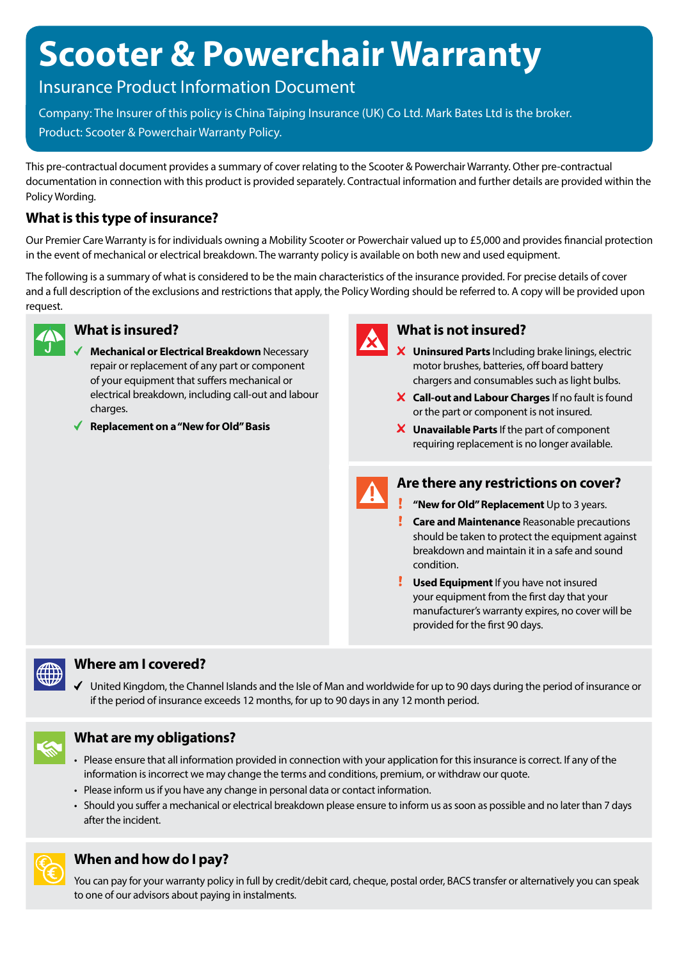# **Scooter & Powerchair Warranty**

## Insurance Product Information Document

Company: The Insurer of this policy is China Taiping Insurance (UK) Co Ltd. Mark Bates Ltd is the broker. Product: Scooter & Powerchair Warranty Policy.

This pre-contractual document provides a summary of cover relating to the Scooter & Powerchair Warranty. Other pre-contractual documentation in connection with this product is provided separately. Contractual information and further details are provided within the Policy Wording.

## **What is this type of insurance?**

Our Premier Care Warranty is for individuals owning a Mobility Scooter or Powerchair valued up to £5,000 and provides financial protection in the event of mechanical or electrical breakdown. The warranty policy is available on both new and used equipment.

The following is a summary of what is considered to be the main characteristics of the insurance provided. For precise details of cover and a full description of the exclusions and restrictions that apply, the Policy Wording should be referred to. A copy will be provided upon request.



#### **What is insured?**

- **Mechanical or Electrical Breakdown** Necessary repair or replacement of any part or component of your equipment that suffers mechanical or electrical breakdown, including call-out and labour charges.
- **Replacement on a "New for Old" Basis**



### **What is not insured?**

- **Uninsured Parts** Including brake linings, electric motor brushes, batteries, off board battery chargers and consumables such as light bulbs.
- **Call-out and Labour Charges** If no fault is found or the part or component is not insured.
- **Unavailable Parts** If the part of component requiring replacement is no longer available.



### **Are there any restrictions on cover?**

- **!** "New for Old" Replacement Up to 3 years.
- **Care and Maintenance** Reasonable precautions should be taken to protect the equipment against breakdown and maintain it in a safe and sound condition.
- **Used Equipment** If you have not insured your equipment from the first day that your manufacturer's warranty expires, no cover will be provided for the first 90 days.



#### **Where am I covered?**

United Kingdom, the Channel Islands and the Isle of Man and worldwide for up to 90 days during the period of insurance or if the period of insurance exceeds 12 months, for up to 90 days in any 12 month period.



### **What are my obligations?**

- Please ensure that all information provided in connection with your application for this insurance is correct. If any of the information is incorrect we may change the terms and conditions, premium, or withdraw our quote.
- Please inform us if you have any change in personal data or contact information.
- Should you suffer a mechanical or electrical breakdown please ensure to inform us as soon as possible and no later than 7 days after the incident.



## **When and how do I pay?**

You can pay for your warranty policy in full by credit/debit card, cheque, postal order, BACS transfer or alternatively you can speak to one of our advisors about paying in instalments.